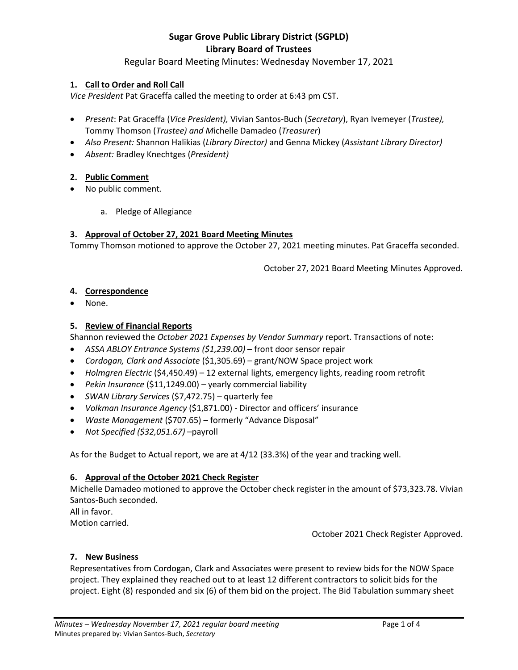## Regular Board Meeting Minutes: Wednesday November 17, 2021

## **1. Call to Order and Roll Call**

*Vice President* Pat Graceffa called the meeting to order at 6:43 pm CST.

- *Present*: Pat Graceffa (*Vice President),* Vivian Santos-Buch (*Secretary*), Ryan Ivemeyer (*Trustee),*  Tommy Thomson (*Trustee) and M*ichelle Damadeo (*Treasurer*)
- *Also Present:* Shannon Halikias (*Library Director)* and Genna Mickey (*Assistant Library Director)*
- *Absent:* Bradley Knechtges (*President)*
- **2. Public Comment**
- No public comment.
	- a. Pledge of Allegiance

## **3. Approval of October 27, 2021 Board Meeting Minutes**

Tommy Thomson motioned to approve the October 27, 2021 meeting minutes. Pat Graceffa seconded.

October 27, 2021 Board Meeting Minutes Approved.

## **4. Correspondence**

• None.

## **5. Review of Financial Reports**

Shannon reviewed the *October 2021 Expenses by Vendor Summary* report. Transactions of note:

- *ASSA ABLOY Entrance Systems (\$1,239.00)* front door sensor repair
- *Cordogan, Clark and Associate* (\$1,305.69) grant/NOW Space project work
- *Holmgren Electric* (\$4,450.49) 12 external lights, emergency lights, reading room retrofit
- *Pekin Insurance* (\$11,1249.00) yearly commercial liability
- *SWAN Library Services* (\$7,472.75) quarterly fee
- *Volkman Insurance Agency* (\$1,871.00) Director and officers' insurance
- *Waste Management* (\$707.65) formerly "Advance Disposal"
- *Not Specified (\$32,051.67)* –payroll

As for the Budget to Actual report, we are at 4/12 (33.3%) of the year and tracking well.

## **6. Approval of the October 2021 Check Register**

Michelle Damadeo motioned to approve the October check register in the amount of \$73,323.78. Vivian Santos-Buch seconded. All in favor.

Motion carried.

October 2021 Check Register Approved.

#### **7. New Business**

Representatives from Cordogan, Clark and Associates were present to review bids for the NOW Space project. They explained they reached out to at least 12 different contractors to solicit bids for the project. Eight (8) responded and six (6) of them bid on the project. The Bid Tabulation summary sheet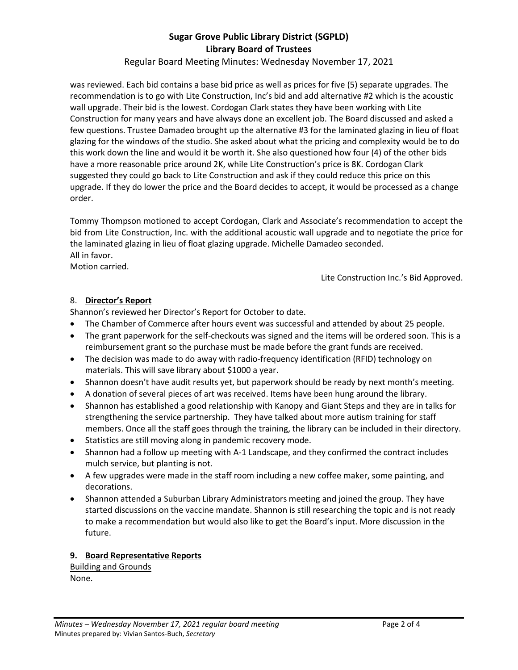Regular Board Meeting Minutes: Wednesday November 17, 2021

was reviewed. Each bid contains a base bid price as well as prices for five (5) separate upgrades. The recommendation is to go with Lite Construction, Inc's bid and add alternative #2 which is the acoustic wall upgrade. Their bid is the lowest. Cordogan Clark states they have been working with Lite Construction for many years and have always done an excellent job. The Board discussed and asked a few questions. Trustee Damadeo brought up the alternative #3 for the laminated glazing in lieu of float glazing for the windows of the studio. She asked about what the pricing and complexity would be to do this work down the line and would it be worth it. She also questioned how four (4) of the other bids have a more reasonable price around 2K, while Lite Construction's price is 8K. Cordogan Clark suggested they could go back to Lite Construction and ask if they could reduce this price on this upgrade. If they do lower the price and the Board decides to accept, it would be processed as a change order.

Tommy Thompson motioned to accept Cordogan, Clark and Associate's recommendation to accept the bid from Lite Construction, Inc. with the additional acoustic wall upgrade and to negotiate the price for the laminated glazing in lieu of float glazing upgrade. Michelle Damadeo seconded. All in favor.

Motion carried.

Lite Construction Inc.'s Bid Approved.

## 8. **Director's Report**

Shannon's reviewed her Director's Report for October to date.

- The Chamber of Commerce after hours event was successful and attended by about 25 people.
- The grant paperwork for the self-checkouts was signed and the items will be ordered soon. This is a reimbursement grant so the purchase must be made before the grant funds are received.
- The decision was made to do away with radio-frequency identification (RFID) technology on materials. This will save library about \$1000 a year.
- Shannon doesn't have audit results yet, but paperwork should be ready by next month's meeting.
- A donation of several pieces of art was received. Items have been hung around the library.
- Shannon has established a good relationship with Kanopy and Giant Steps and they are in talks for strengthening the service partnership. They have talked about more autism training for staff members. Once all the staff goes through the training, the library can be included in their directory.
- Statistics are still moving along in pandemic recovery mode.
- Shannon had a follow up meeting with A-1 Landscape, and they confirmed the contract includes mulch service, but planting is not.
- A few upgrades were made in the staff room including a new coffee maker, some painting, and decorations.
- Shannon attended a Suburban Library Administrators meeting and joined the group. They have started discussions on the vaccine mandate. Shannon is still researching the topic and is not ready to make a recommendation but would also like to get the Board's input. More discussion in the future.

## **9. Board Representative Reports**

Building and Grounds None.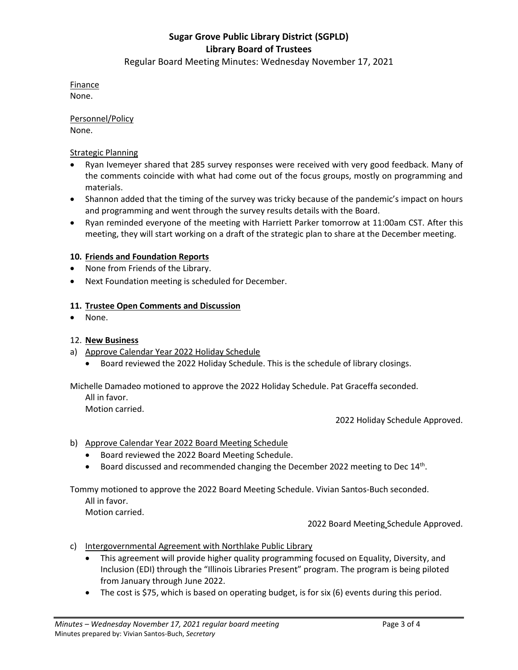Regular Board Meeting Minutes: Wednesday November 17, 2021

Finance None.

Personnel/Policy None.

Strategic Planning

- Ryan Ivemeyer shared that 285 survey responses were received with very good feedback. Many of the comments coincide with what had come out of the focus groups, mostly on programming and materials.
- Shannon added that the timing of the survey was tricky because of the pandemic's impact on hours and programming and went through the survey results details with the Board.
- Ryan reminded everyone of the meeting with Harriett Parker tomorrow at 11:00am CST. After this meeting, they will start working on a draft of the strategic plan to share at the December meeting.

## **10. Friends and Foundation Reports**

- None from Friends of the Library.
- Next Foundation meeting is scheduled for December.

## **11. Trustee Open Comments and Discussion**

• None.

#### 12. **New Business**

- a) Approve Calendar Year 2022 Holiday Schedule
	- Board reviewed the 2022 Holiday Schedule. This is the schedule of library closings.

Michelle Damadeo motioned to approve the 2022 Holiday Schedule. Pat Graceffa seconded. All in favor.

Motion carried.

2022 Holiday Schedule Approved.

## b) Approve Calendar Year 2022 Board Meeting Schedule

- Board reviewed the 2022 Board Meeting Schedule.
- $\bullet$  Board discussed and recommended changing the December 2022 meeting to Dec 14<sup>th</sup>.

Tommy motioned to approve the 2022 Board Meeting Schedule. Vivian Santos-Buch seconded.

All in favor.

Motion carried.

2022 Board Meeting Schedule Approved.

- c) Intergovernmental Agreement with Northlake Public Library
	- This agreement will provide higher quality programming focused on Equality, Diversity, and Inclusion (EDI) through the "Illinois Libraries Present" program. The program is being piloted from January through June 2022.
	- The cost is \$75, which is based on operating budget, is for six (6) events during this period.